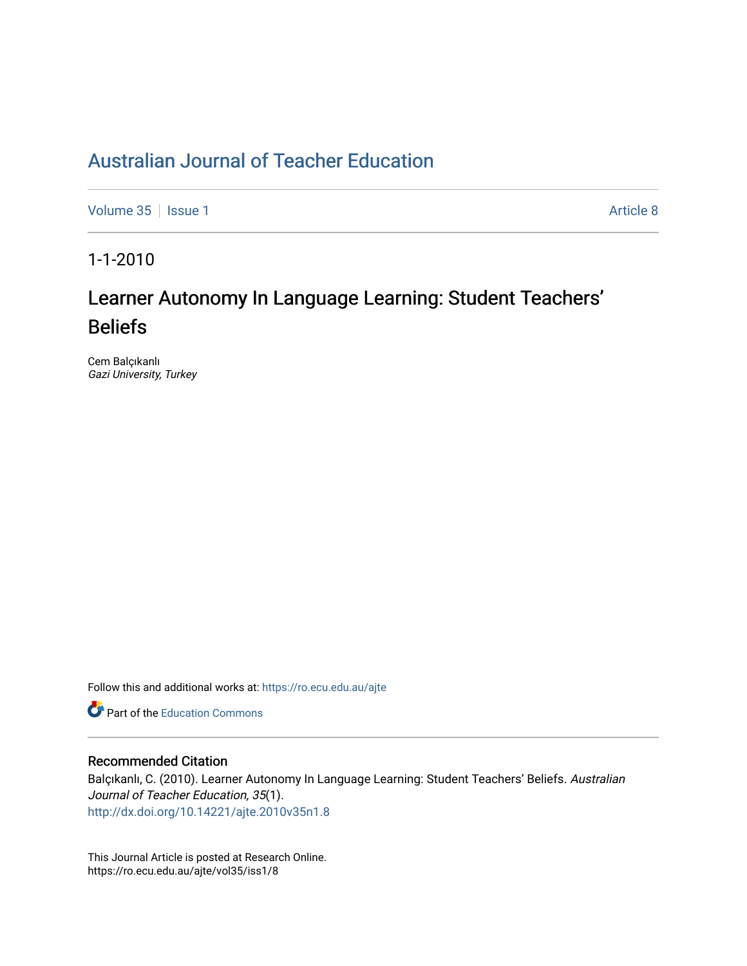# [Australian Journal of Teacher Education](https://ro.ecu.edu.au/ajte)

[Volume 35](https://ro.ecu.edu.au/ajte/vol35) | [Issue 1](https://ro.ecu.edu.au/ajte/vol35/iss1) Article 8

1-1-2010

# Learner Autonomy In Language Learning: Student Teachers' Beliefs

Cem Balçıkanlı Gazi University, Turkey

Follow this and additional works at: [https://ro.ecu.edu.au/ajte](https://ro.ecu.edu.au/ajte?utm_source=ro.ecu.edu.au%2Fajte%2Fvol35%2Fiss1%2F8&utm_medium=PDF&utm_campaign=PDFCoverPages) 

**Part of the Education Commons** 

#### Recommended Citation

Balçıkanlı, C. (2010). Learner Autonomy In Language Learning: Student Teachers' Beliefs. Australian Journal of Teacher Education, 35(1). <http://dx.doi.org/10.14221/ajte.2010v35n1.8>

This Journal Article is posted at Research Online. https://ro.ecu.edu.au/ajte/vol35/iss1/8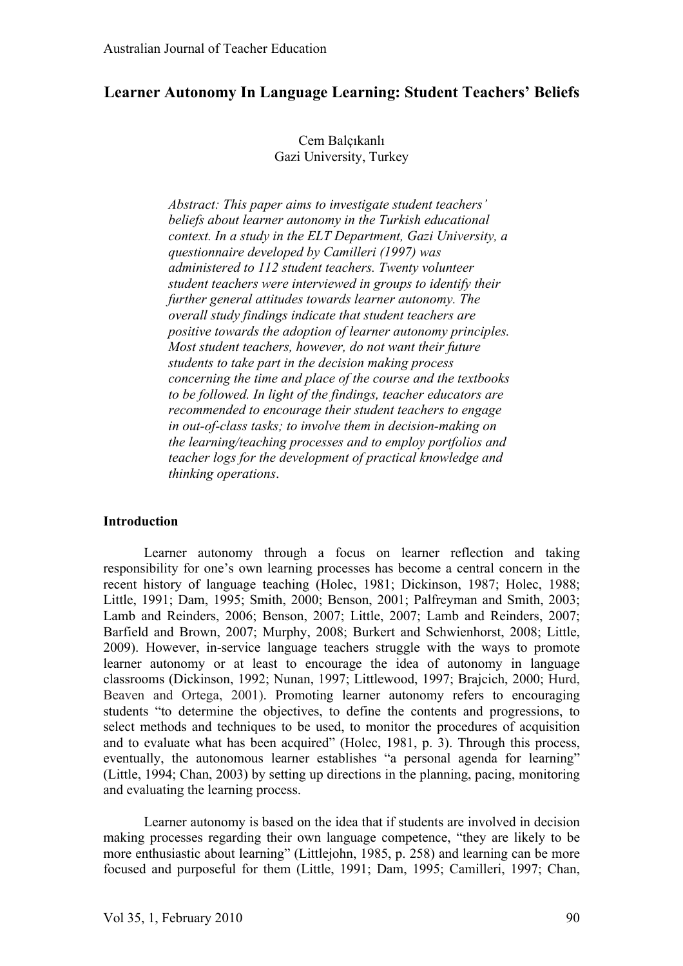# **Learner Autonomy In Language Learning: Student Teachers' Beliefs**

Cem Balçıkanlı Gazi University, Turkey

*Abstract: This paper aims to investigate student teachers' beliefs about learner autonomy in the Turkish educational context. In a study in the ELT Department, Gazi University, a questionnaire developed by Camilleri (1997) was administered to 112 student teachers. Twenty volunteer student teachers were interviewed in groups to identify their further general attitudes towards learner autonomy. The overall study findings indicate that student teachers are positive towards the adoption of learner autonomy principles. Most student teachers, however, do not want their future students to take part in the decision making process concerning the time and place of the course and the textbooks to be followed. In light of the findings, teacher educators are recommended to encourage their student teachers to engage in out-of-class tasks; to involve them in decision-making on the learning/teaching processes and to employ portfolios and teacher logs for the development of practical knowledge and thinking operations*.

#### **Introduction**

Learner autonomy through a focus on learner reflection and taking responsibility for one's own learning processes has become a central concern in the recent history of language teaching (Holec, 1981; Dickinson, 1987; Holec, 1988; Little, 1991; Dam, 1995; Smith, 2000; Benson, 2001; Palfreyman and Smith, 2003; Lamb and Reinders, 2006; Benson, 2007; Little, 2007; Lamb and Reinders, 2007; Barfield and Brown, 2007; Murphy, 2008; Burkert and Schwienhorst, 2008; Little, 2009). However, in-service language teachers struggle with the ways to promote learner autonomy or at least to encourage the idea of autonomy in language classrooms (Dickinson, 1992; Nunan, 1997; Littlewood, 1997; Brajcich, 2000; Hurd, Beaven and Ortega, 2001). Promoting learner autonomy refers to encouraging students "to determine the objectives, to define the contents and progressions, to select methods and techniques to be used, to monitor the procedures of acquisition and to evaluate what has been acquired" (Holec, 1981, p. 3). Through this process, eventually, the autonomous learner establishes "a personal agenda for learning" (Little, 1994; Chan, 2003) by setting up directions in the planning, pacing, monitoring and evaluating the learning process.

Learner autonomy is based on the idea that if students are involved in decision making processes regarding their own language competence, "they are likely to be more enthusiastic about learning" (Littlejohn, 1985, p. 258) and learning can be more focused and purposeful for them (Little, 1991; Dam, 1995; Camilleri, 1997; Chan,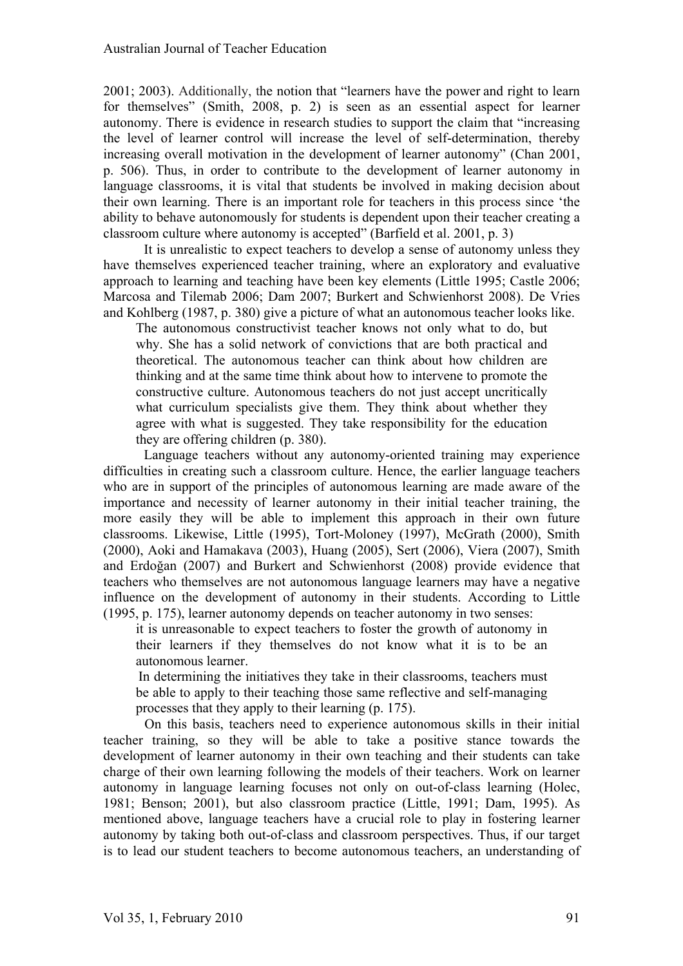2001; 2003). Additionally, the notion that "learners have the power and right to learn for themselves" (Smith, 2008, p. 2) is seen as an essential aspect for learner autonomy. There is evidence in research studies to support the claim that "increasing the level of learner control will increase the level of self-determination, thereby increasing overall motivation in the development of learner autonomy" (Chan 2001, p. 506). Thus, in order to contribute to the development of learner autonomy in language classrooms, it is vital that students be involved in making decision about their own learning. There is an important role for teachers in this process since 'the ability to behave autonomously for students is dependent upon their teacher creating a classroom culture where autonomy is accepted" (Barfield et al. 2001, p. 3)

It is unrealistic to expect teachers to develop a sense of autonomy unless they have themselves experienced teacher training, where an exploratory and evaluative approach to learning and teaching have been key elements (Little 1995; Castle 2006; Marcosa and Tilemab 2006; Dam 2007; Burkert and Schwienhorst 2008). De Vries and Kohlberg (1987, p. 380) give a picture of what an autonomous teacher looks like.

The autonomous constructivist teacher knows not only what to do, but why. She has a solid network of convictions that are both practical and theoretical. The autonomous teacher can think about how children are thinking and at the same time think about how to intervene to promote the constructive culture. Autonomous teachers do not just accept uncritically what curriculum specialists give them. They think about whether they agree with what is suggested. They take responsibility for the education they are offering children (p. 380).

Language teachers without any autonomy-oriented training may experience difficulties in creating such a classroom culture. Hence, the earlier language teachers who are in support of the principles of autonomous learning are made aware of the importance and necessity of learner autonomy in their initial teacher training, the more easily they will be able to implement this approach in their own future classrooms. Likewise, Little (1995), Tort-Moloney (1997), McGrath (2000), Smith (2000), Aoki and Hamakava (2003), Huang (2005), Sert (2006), Viera (2007), Smith and Erdoğan (2007) and Burkert and Schwienhorst (2008) provide evidence that teachers who themselves are not autonomous language learners may have a negative influence on the development of autonomy in their students. According to Little (1995, p. 175), learner autonomy depends on teacher autonomy in two senses:

it is unreasonable to expect teachers to foster the growth of autonomy in their learners if they themselves do not know what it is to be an autonomous learner.

In determining the initiatives they take in their classrooms, teachers must be able to apply to their teaching those same reflective and self-managing processes that they apply to their learning (p. 175).

On this basis, teachers need to experience autonomous skills in their initial teacher training, so they will be able to take a positive stance towards the development of learner autonomy in their own teaching and their students can take charge of their own learning following the models of their teachers. Work on learner autonomy in language learning focuses not only on out-of-class learning (Holec, 1981; Benson; 2001), but also classroom practice (Little, 1991; Dam, 1995). As mentioned above, language teachers have a crucial role to play in fostering learner autonomy by taking both out-of-class and classroom perspectives. Thus, if our target is to lead our student teachers to become autonomous teachers, an understanding of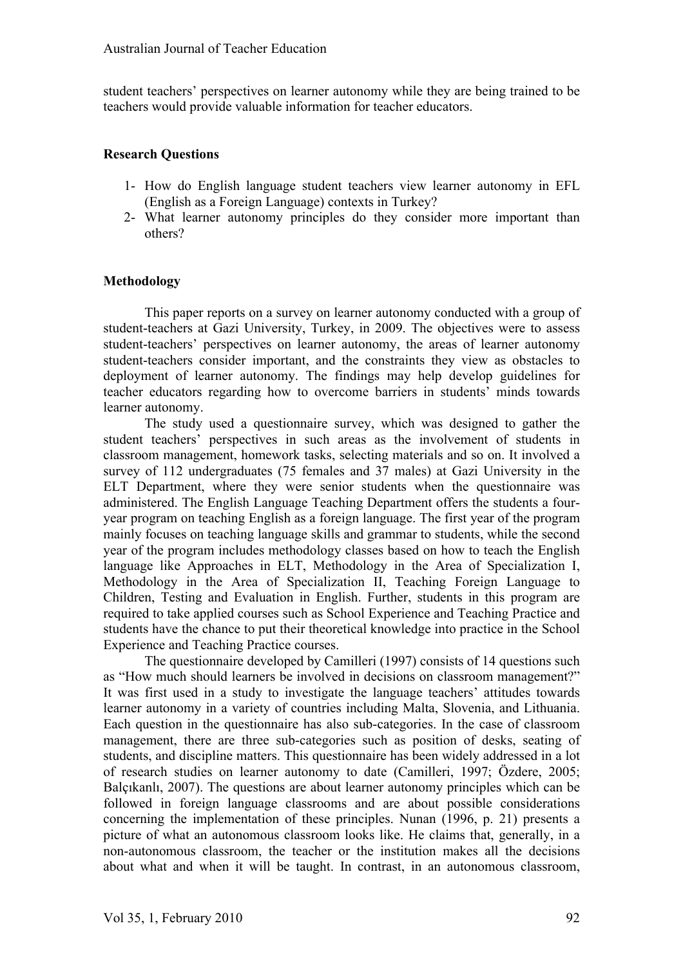student teachers' perspectives on learner autonomy while they are being trained to be teachers would provide valuable information for teacher educators.

### **Research Questions**

- 1- How do English language student teachers view learner autonomy in EFL (English as a Foreign Language) contexts in Turkey?
- 2- What learner autonomy principles do they consider more important than others?

# **Methodology**

This paper reports on a survey on learner autonomy conducted with a group of student-teachers at Gazi University, Turkey, in 2009. The objectives were to assess student-teachers' perspectives on learner autonomy, the areas of learner autonomy student-teachers consider important, and the constraints they view as obstacles to deployment of learner autonomy. The findings may help develop guidelines for teacher educators regarding how to overcome barriers in students' minds towards learner autonomy.

The study used a questionnaire survey, which was designed to gather the student teachers' perspectives in such areas as the involvement of students in classroom management, homework tasks, selecting materials and so on. It involved a survey of 112 undergraduates (75 females and 37 males) at Gazi University in the ELT Department, where they were senior students when the questionnaire was administered. The English Language Teaching Department offers the students a fouryear program on teaching English as a foreign language. The first year of the program mainly focuses on teaching language skills and grammar to students, while the second year of the program includes methodology classes based on how to teach the English language like Approaches in ELT, Methodology in the Area of Specialization I, Methodology in the Area of Specialization II, Teaching Foreign Language to Children, Testing and Evaluation in English. Further, students in this program are required to take applied courses such as School Experience and Teaching Practice and students have the chance to put their theoretical knowledge into practice in the School Experience and Teaching Practice courses.

The questionnaire developed by Camilleri (1997) consists of 14 questions such as "How much should learners be involved in decisions on classroom management?" It was first used in a study to investigate the language teachers' attitudes towards learner autonomy in a variety of countries including Malta, Slovenia, and Lithuania. Each question in the questionnaire has also sub-categories. In the case of classroom management, there are three sub-categories such as position of desks, seating of students, and discipline matters. This questionnaire has been widely addressed in a lot of research studies on learner autonomy to date (Camilleri, 1997; Özdere, 2005; Balçıkanlı, 2007). The questions are about learner autonomy principles which can be followed in foreign language classrooms and are about possible considerations concerning the implementation of these principles. Nunan (1996, p. 21) presents a picture of what an autonomous classroom looks like. He claims that, generally, in a non-autonomous classroom, the teacher or the institution makes all the decisions about what and when it will be taught. In contrast, in an autonomous classroom,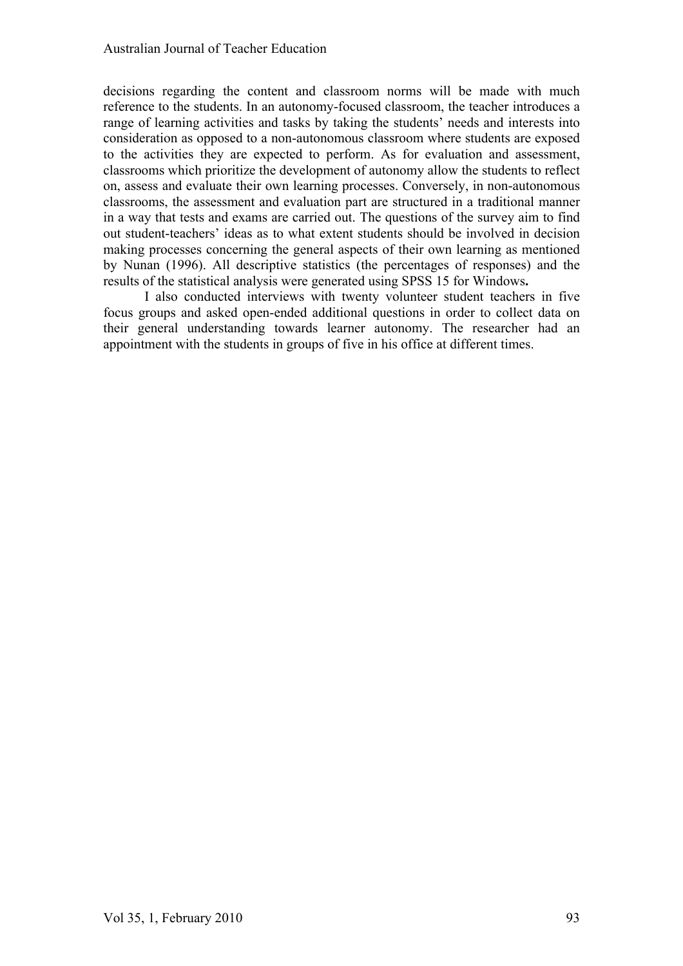decisions regarding the content and classroom norms will be made with much reference to the students. In an autonomy-focused classroom, the teacher introduces a range of learning activities and tasks by taking the students' needs and interests into consideration as opposed to a non-autonomous classroom where students are exposed to the activities they are expected to perform. As for evaluation and assessment, classrooms which prioritize the development of autonomy allow the students to reflect on, assess and evaluate their own learning processes. Conversely, in non-autonomous classrooms, the assessment and evaluation part are structured in a traditional manner in a way that tests and exams are carried out. The questions of the survey aim to find out student-teachers' ideas as to what extent students should be involved in decision making processes concerning the general aspects of their own learning as mentioned by Nunan (1996). All descriptive statistics (the percentages of responses) and the results of the statistical analysis were generated using SPSS 15 for Windows**.** 

I also conducted interviews with twenty volunteer student teachers in five focus groups and asked open-ended additional questions in order to collect data on their general understanding towards learner autonomy. The researcher had an appointment with the students in groups of five in his office at different times.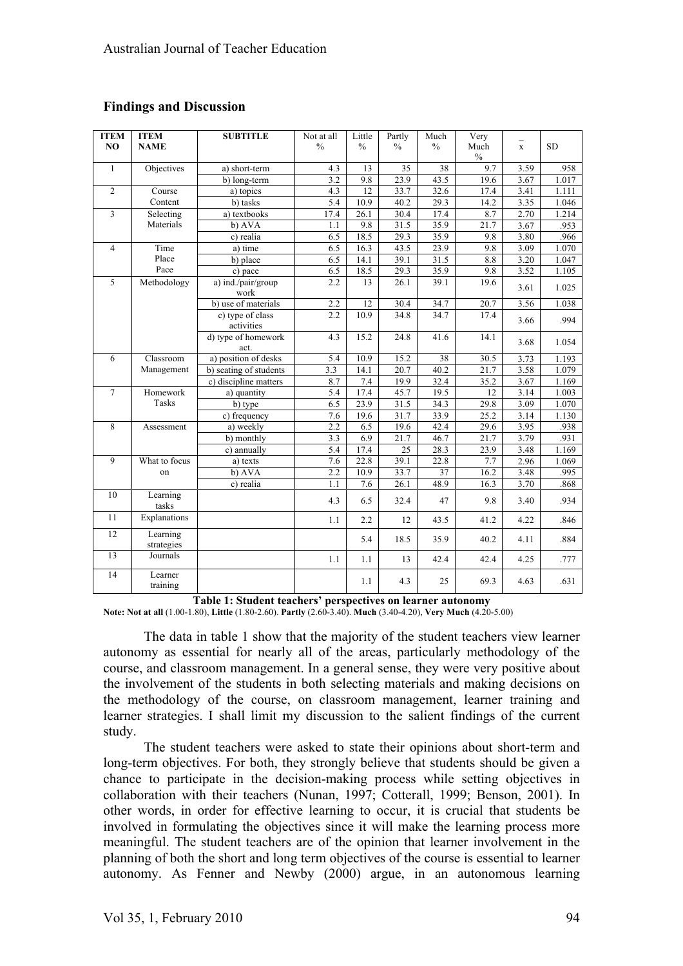# **Findings and Discussion**

| <b>ITEM</b>    | <b>ITEM</b>            | <b>SUBTITLE</b>             | Not at all              | Little        | Partly        | Much          | Very              |              |           |
|----------------|------------------------|-----------------------------|-------------------------|---------------|---------------|---------------|-------------------|--------------|-----------|
| NO             | <b>NAME</b>            |                             | $\frac{0}{0}$           | $\frac{0}{0}$ | $\frac{0}{0}$ | $\frac{0}{0}$ | Much              | $\mathbf{x}$ | <b>SD</b> |
|                |                        |                             |                         |               |               |               | $\frac{0}{0}$     |              |           |
| $\mathbf{1}$   | Objectives             | a) short-term               | 4.3                     | 13            | 35            | 38            | 9.7               | 3.59         | .958      |
|                |                        | b) long-term                | 3.2                     | 9.8           | 23.9          | 43.5          | 19.6              | 3.67         | 1.017     |
| $\overline{2}$ | Course                 | a) topics                   | 4.3                     | 12            | 33.7          | 32.6          | 17.4              | 3.41         | 1.111     |
|                | Content                | b) tasks                    | 5.4                     | 10.9          | 40.2          | 29.3          | 14.2              | 3.35         | 1.046     |
| $\overline{3}$ | Selecting              | a) textbooks                | 17.4                    | 26.1          | 30.4          | 17.4          | 8.7               | 2.70         | 1.214     |
|                | Materials              | b) AVA                      | 1.1                     | 9.8           | 31.5          | 35.9          | $\overline{21.7}$ | 3.67         | .953      |
|                |                        | c) realia                   | 6.5                     | 18.5          | 29.3          | 35.9          | 9.8               | 3.80         | .966      |
| $\overline{4}$ | Time                   | a) time                     | 6.5                     | 16.3          | 43.5          | 23.9          | 9.8               | 3.09         | 1.070     |
|                | Place                  | b) place                    | 6.5                     | 14.1          | 39.1          | 31.5          | 8.8               | 3.20         | 1.047     |
|                | Pace                   | c) pace                     | 6.5                     | 18.5          | 29.3          | 35.9          | 9.8               | 3.52         | 1.105     |
| 5              | Methodology            | a) ind./pair/group          | 2.2                     | 13            | 26.1          | 39.1          | 19.6              | 3.61         | 1.025     |
|                |                        | work<br>b) use of materials |                         | 12            |               |               |                   |              |           |
|                |                        | c) type of class            | 2.2<br>$\overline{2.2}$ | 10.9          | 30.4<br>34.8  | 34.7<br>34.7  | 20.7<br>17.4      | 3.56         | 1.038     |
|                |                        | activities                  |                         |               |               |               |                   | 3.66         | .994      |
|                |                        | d) type of homework         | 4.3                     | 15.2          | 24.8          | 41.6          | 14.1              |              |           |
|                |                        | act.                        |                         |               |               |               |                   | 3.68         | 1.054     |
| 6              | Classroom              | a) position of desks        | 5.4                     | 10.9          | 15.2          | 38            | 30.5              | 3.73         | 1.193     |
|                | Management             | b) seating of students      | 3.3                     | 14.1          | 20.7          | 40.2          | 21.7              | 3.58         | 1.079     |
|                |                        | c) discipline matters       | 8.7                     | 7.4           | 19.9          | 32.4          | 35.2              | 3.67         | 1.169     |
| $\overline{7}$ | Homework               | a) quantity                 | 5.4                     | 17.4          | 45.7          | 19.5          | 12                | 3.14         | 1.003     |
|                | <b>Tasks</b>           | b) type                     | 6.5                     | 23.9          | 31.5          | 34.3          | 29.8              | 3.09         | 1.070     |
|                |                        | c) frequency                | 7.6                     | 19.6          | 31.7          | 33.9          | 25.2              | 3.14         | 1.130     |
| 8              | Assessment             | a) weekly                   | 2.2                     | 6.5           | 19.6          | 42.4          | 29.6              | 3.95         | .938      |
|                |                        | b) monthly                  | 3.3                     | 6.9           | 21.7          | 46.7          | 21.7              | 3.79         | .931      |
|                |                        | c) annually                 | 5.4                     | 17.4          | 25            | 28.3          | 23.9              | 3.48         | 1.169     |
| $\overline{9}$ | What to focus          | a) texts                    | 7.6                     | 22.8          | 39.1          | 22.8          | 7.7               | 2.96         | 1.069     |
|                | on                     | b) AVA                      | 2.2                     | 10.9          | 33.7          | 37            | 16.2              | 3.48         | .995      |
|                |                        | c) realia                   | 1.1                     | 7.6           | 26.1          | 48.9          | 16.3              | 3.70         | .868      |
| 10             | Learning<br>tasks      |                             | 4.3                     | 6.5           | 32.4          | 47            | 9.8               | 3.40         | .934      |
| 11             | Explanations           |                             | 1.1                     | 2.2           | 12            | 43.5          | 41.2              | 4.22         | .846      |
| 12             | Learning<br>strategies |                             |                         | 5.4           | 18.5          | 35.9          | 40.2              | 4.11         | .884      |
| 13             | Journals               |                             | 1.1                     | 1.1           | 13            | 42.4          | 42.4              | 4.25         | .777      |
| 14             | Learner<br>training    |                             |                         | 1.1           | 4.3           | 25            | 69.3              | 4.63         | .631      |

**Table 1: Student teachers' perspectives on learner autonomy**

**Note: Not at all** (1.00-1.80), **Little** (1.80-2.60). **Partly** (2.60-3.40). **Much** (3.40-4.20), **Very Much** (4.20-5.00)

The data in table 1 show that the majority of the student teachers view learner autonomy as essential for nearly all of the areas, particularly methodology of the course, and classroom management. In a general sense, they were very positive about the involvement of the students in both selecting materials and making decisions on the methodology of the course, on classroom management, learner training and learner strategies. I shall limit my discussion to the salient findings of the current study.

The student teachers were asked to state their opinions about short-term and long-term objectives. For both, they strongly believe that students should be given a chance to participate in the decision-making process while setting objectives in collaboration with their teachers (Nunan, 1997; Cotterall, 1999; Benson, 2001). In other words, in order for effective learning to occur, it is crucial that students be involved in formulating the objectives since it will make the learning process more meaningful. The student teachers are of the opinion that learner involvement in the planning of both the short and long term objectives of the course is essential to learner autonomy. As Fenner and Newby (2000) argue, in an autonomous learning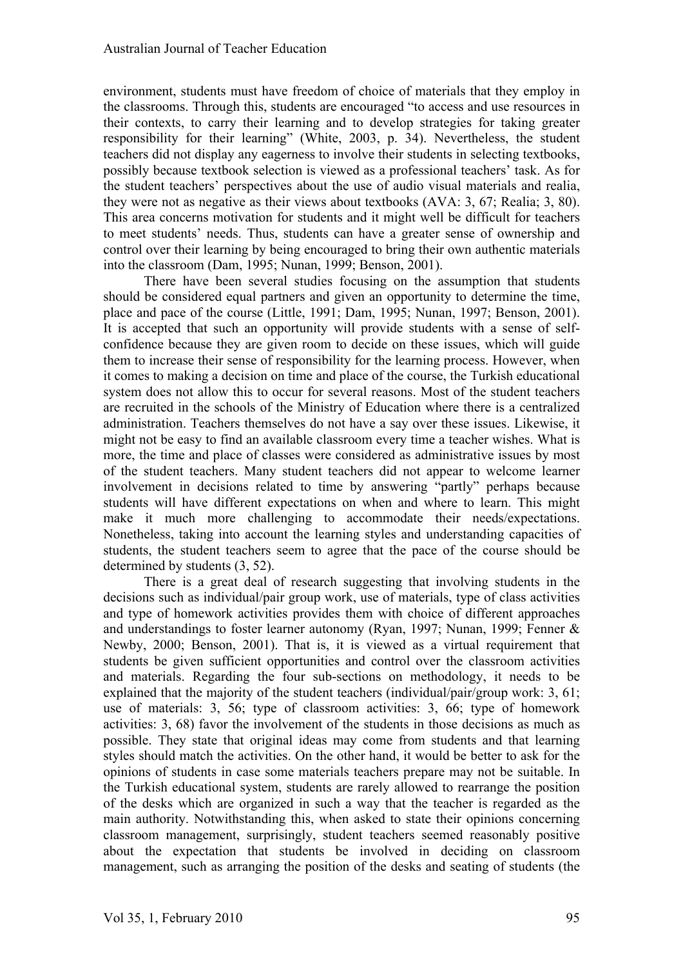environment, students must have freedom of choice of materials that they employ in the classrooms. Through this, students are encouraged "to access and use resources in their contexts, to carry their learning and to develop strategies for taking greater responsibility for their learning" (White, 2003, p. 34). Nevertheless, the student teachers did not display any eagerness to involve their students in selecting textbooks, possibly because textbook selection is viewed as a professional teachers' task. As for the student teachers' perspectives about the use of audio visual materials and realia, they were not as negative as their views about textbooks (AVA: 3, 67; Realia; 3, 80). This area concerns motivation for students and it might well be difficult for teachers to meet students' needs. Thus, students can have a greater sense of ownership and control over their learning by being encouraged to bring their own authentic materials into the classroom (Dam, 1995; Nunan, 1999; Benson, 2001).

There have been several studies focusing on the assumption that students should be considered equal partners and given an opportunity to determine the time, place and pace of the course (Little, 1991; Dam, 1995; Nunan, 1997; Benson, 2001). It is accepted that such an opportunity will provide students with a sense of selfconfidence because they are given room to decide on these issues, which will guide them to increase their sense of responsibility for the learning process. However, when it comes to making a decision on time and place of the course, the Turkish educational system does not allow this to occur for several reasons. Most of the student teachers are recruited in the schools of the Ministry of Education where there is a centralized administration. Teachers themselves do not have a say over these issues. Likewise, it might not be easy to find an available classroom every time a teacher wishes. What is more, the time and place of classes were considered as administrative issues by most of the student teachers. Many student teachers did not appear to welcome learner involvement in decisions related to time by answering "partly" perhaps because students will have different expectations on when and where to learn. This might make it much more challenging to accommodate their needs/expectations. Nonetheless, taking into account the learning styles and understanding capacities of students, the student teachers seem to agree that the pace of the course should be determined by students (3, 52).

There is a great deal of research suggesting that involving students in the decisions such as individual/pair group work, use of materials, type of class activities and type of homework activities provides them with choice of different approaches and understandings to foster learner autonomy (Ryan, 1997; Nunan, 1999; Fenner & Newby, 2000; Benson, 2001). That is, it is viewed as a virtual requirement that students be given sufficient opportunities and control over the classroom activities and materials. Regarding the four sub-sections on methodology, it needs to be explained that the majority of the student teachers (individual/pair/group work: 3, 61; use of materials: 3, 56; type of classroom activities: 3, 66; type of homework activities: 3, 68) favor the involvement of the students in those decisions as much as possible. They state that original ideas may come from students and that learning styles should match the activities. On the other hand, it would be better to ask for the opinions of students in case some materials teachers prepare may not be suitable. In the Turkish educational system, students are rarely allowed to rearrange the position of the desks which are organized in such a way that the teacher is regarded as the main authority. Notwithstanding this, when asked to state their opinions concerning classroom management, surprisingly, student teachers seemed reasonably positive about the expectation that students be involved in deciding on classroom management, such as arranging the position of the desks and seating of students (the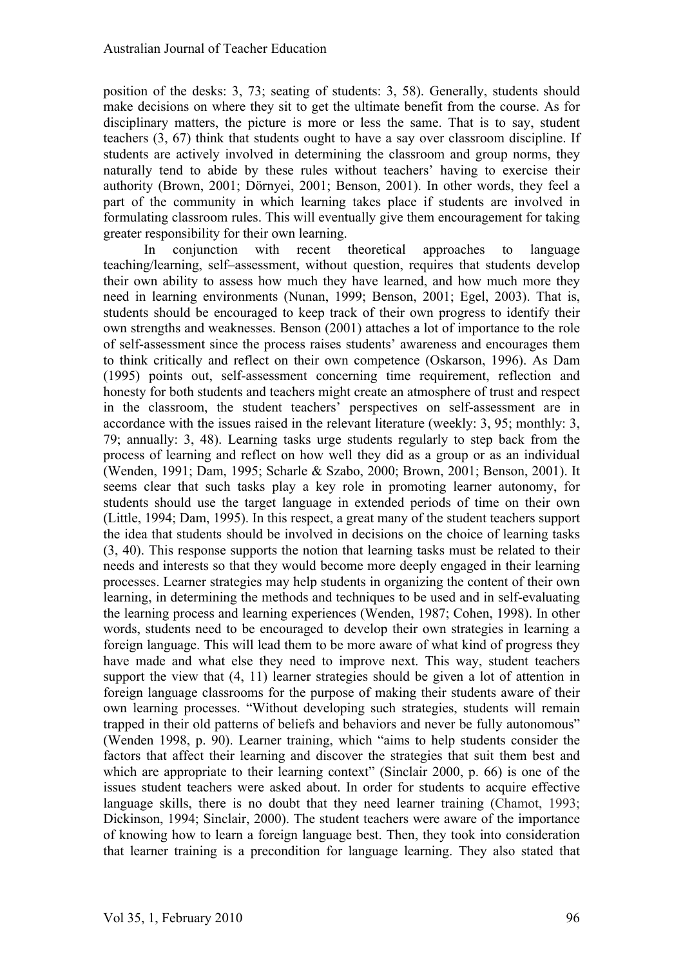position of the desks: 3, 73; seating of students: 3, 58). Generally, students should make decisions on where they sit to get the ultimate benefit from the course. As for disciplinary matters, the picture is more or less the same. That is to say, student teachers (3, 67) think that students ought to have a say over classroom discipline. If students are actively involved in determining the classroom and group norms, they naturally tend to abide by these rules without teachers' having to exercise their authority (Brown, 2001; Dörnyei, 2001; Benson, 2001). In other words, they feel a part of the community in which learning takes place if students are involved in formulating classroom rules. This will eventually give them encouragement for taking greater responsibility for their own learning.

In conjunction with recent theoretical approaches to language teaching/learning, self–assessment, without question, requires that students develop their own ability to assess how much they have learned, and how much more they need in learning environments (Nunan, 1999; Benson, 2001; Egel, 2003). That is, students should be encouraged to keep track of their own progress to identify their own strengths and weaknesses. Benson (2001) attaches a lot of importance to the role of self-assessment since the process raises students' awareness and encourages them to think critically and reflect on their own competence (Oskarson, 1996). As Dam (1995) points out, self-assessment concerning time requirement, reflection and honesty for both students and teachers might create an atmosphere of trust and respect in the classroom, the student teachers' perspectives on self-assessment are in accordance with the issues raised in the relevant literature (weekly: 3, 95; monthly: 3, 79; annually: 3, 48). Learning tasks urge students regularly to step back from the process of learning and reflect on how well they did as a group or as an individual (Wenden, 1991; Dam, 1995; Scharle & Szabo, 2000; Brown, 2001; Benson, 2001). It seems clear that such tasks play a key role in promoting learner autonomy, for students should use the target language in extended periods of time on their own (Little, 1994; Dam, 1995). In this respect, a great many of the student teachers support the idea that students should be involved in decisions on the choice of learning tasks (3, 40). This response supports the notion that learning tasks must be related to their needs and interests so that they would become more deeply engaged in their learning processes. Learner strategies may help students in organizing the content of their own learning, in determining the methods and techniques to be used and in self-evaluating the learning process and learning experiences (Wenden, 1987; Cohen, 1998). In other words, students need to be encouraged to develop their own strategies in learning a foreign language. This will lead them to be more aware of what kind of progress they have made and what else they need to improve next. This way, student teachers support the view that (4, 11) learner strategies should be given a lot of attention in foreign language classrooms for the purpose of making their students aware of their own learning processes. "Without developing such strategies, students will remain trapped in their old patterns of beliefs and behaviors and never be fully autonomous" (Wenden 1998, p. 90). Learner training, which "aims to help students consider the factors that affect their learning and discover the strategies that suit them best and which are appropriate to their learning context" (Sinclair 2000, p. 66) is one of the issues student teachers were asked about. In order for students to acquire effective language skills, there is no doubt that they need learner training (Chamot, 1993; Dickinson, 1994; Sinclair, 2000). The student teachers were aware of the importance of knowing how to learn a foreign language best. Then, they took into consideration that learner training is a precondition for language learning. They also stated that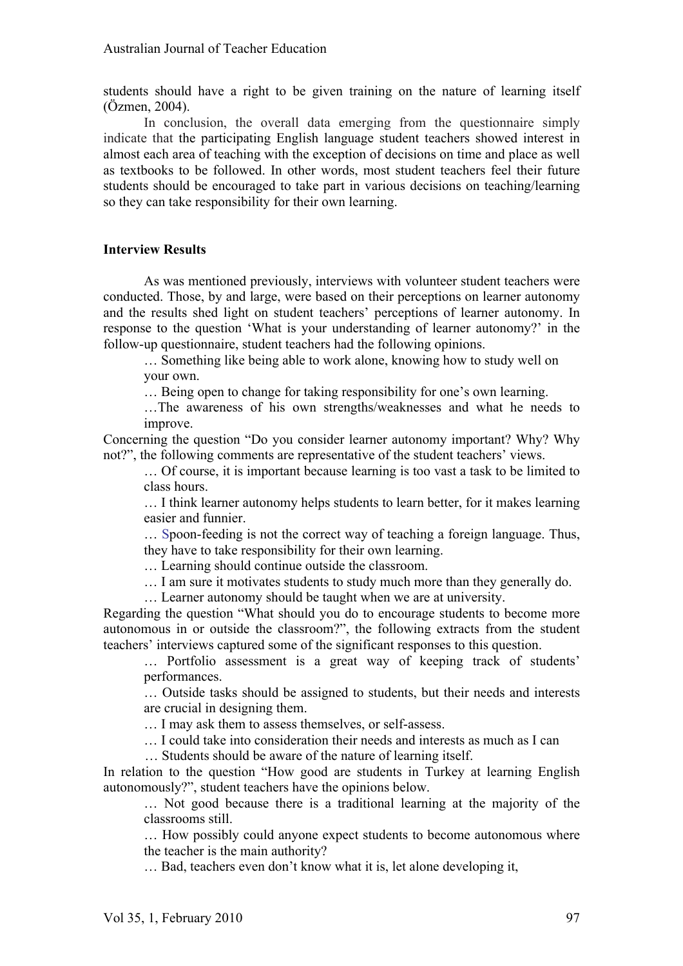students should have a right to be given training on the nature of learning itself (Özmen, 2004).

In conclusion, the overall data emerging from the questionnaire simply indicate that the participating English language student teachers showed interest in almost each area of teaching with the exception of decisions on time and place as well as textbooks to be followed. In other words, most student teachers feel their future students should be encouraged to take part in various decisions on teaching/learning so they can take responsibility for their own learning.

### **Interview Results**

As was mentioned previously, interviews with volunteer student teachers were conducted. Those, by and large, were based on their perceptions on learner autonomy and the results shed light on student teachers' perceptions of learner autonomy. In response to the question 'What is your understanding of learner autonomy?' in the follow-up questionnaire, student teachers had the following opinions.

… Something like being able to work alone, knowing how to study well on your own.

… Being open to change for taking responsibility for one's own learning.

…The awareness of his own strengths/weaknesses and what he needs to improve.

Concerning the question "Do you consider learner autonomy important? Why? Why not?", the following comments are representative of the student teachers' views.

… Of course, it is important because learning is too vast a task to be limited to class hours.

… I think learner autonomy helps students to learn better, for it makes learning easier and funnier.

… Spoon-feeding is not the correct way of teaching a foreign language. Thus, they have to take responsibility for their own learning.

… Learning should continue outside the classroom.

… I am sure it motivates students to study much more than they generally do.

… Learner autonomy should be taught when we are at university.

Regarding the question "What should you do to encourage students to become more autonomous in or outside the classroom?", the following extracts from the student teachers' interviews captured some of the significant responses to this question.

… Portfolio assessment is a great way of keeping track of students' performances.

… Outside tasks should be assigned to students, but their needs and interests are crucial in designing them.

… I may ask them to assess themselves, or self-assess.

… I could take into consideration their needs and interests as much as I can

… Students should be aware of the nature of learning itself.

In relation to the question "How good are students in Turkey at learning English autonomously?", student teachers have the opinions below.

… Not good because there is a traditional learning at the majority of the classrooms still.

… How possibly could anyone expect students to become autonomous where the teacher is the main authority?

… Bad, teachers even don't know what it is, let alone developing it,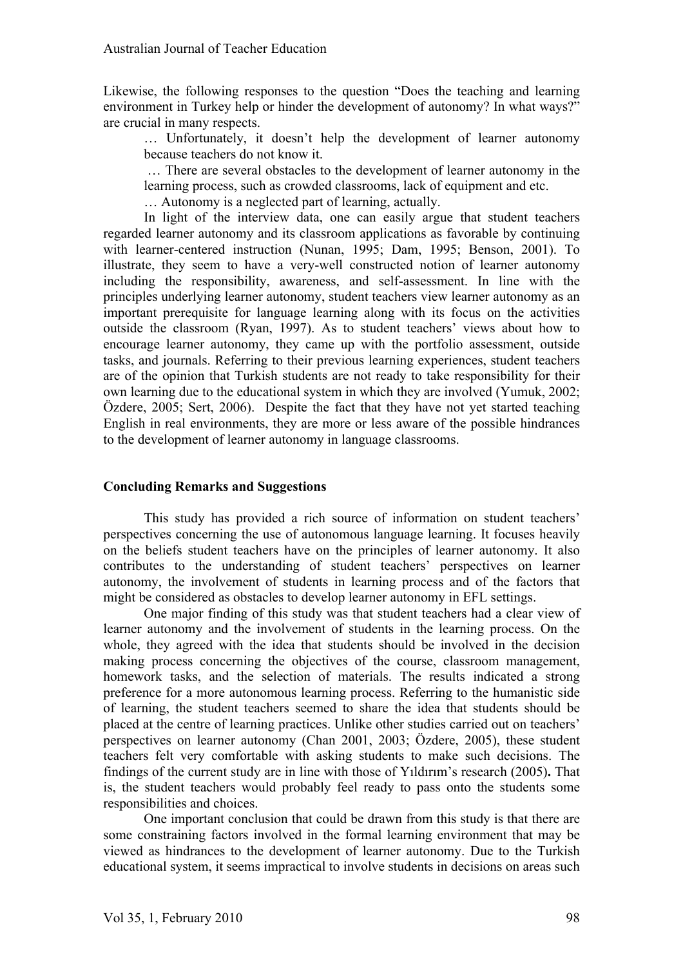Likewise, the following responses to the question "Does the teaching and learning environment in Turkey help or hinder the development of autonomy? In what ways?" are crucial in many respects.

… Unfortunately, it doesn't help the development of learner autonomy because teachers do not know it.

… There are several obstacles to the development of learner autonomy in the learning process, such as crowded classrooms, lack of equipment and etc.

… Autonomy is a neglected part of learning, actually.

In light of the interview data, one can easily argue that student teachers regarded learner autonomy and its classroom applications as favorable by continuing with learner-centered instruction (Nunan, 1995; Dam, 1995; Benson, 2001). To illustrate, they seem to have a very-well constructed notion of learner autonomy including the responsibility, awareness, and self-assessment. In line with the principles underlying learner autonomy, student teachers view learner autonomy as an important prerequisite for language learning along with its focus on the activities outside the classroom (Ryan, 1997). As to student teachers' views about how to encourage learner autonomy, they came up with the portfolio assessment, outside tasks, and journals. Referring to their previous learning experiences, student teachers are of the opinion that Turkish students are not ready to take responsibility for their own learning due to the educational system in which they are involved (Yumuk, 2002; Özdere, 2005; Sert, 2006). Despite the fact that they have not yet started teaching English in real environments, they are more or less aware of the possible hindrances to the development of learner autonomy in language classrooms.

#### **Concluding Remarks and Suggestions**

This study has provided a rich source of information on student teachers' perspectives concerning the use of autonomous language learning. It focuses heavily on the beliefs student teachers have on the principles of learner autonomy. It also contributes to the understanding of student teachers' perspectives on learner autonomy, the involvement of students in learning process and of the factors that might be considered as obstacles to develop learner autonomy in EFL settings.

One major finding of this study was that student teachers had a clear view of learner autonomy and the involvement of students in the learning process. On the whole, they agreed with the idea that students should be involved in the decision making process concerning the objectives of the course, classroom management, homework tasks, and the selection of materials. The results indicated a strong preference for a more autonomous learning process. Referring to the humanistic side of learning, the student teachers seemed to share the idea that students should be placed at the centre of learning practices. Unlike other studies carried out on teachers' perspectives on learner autonomy (Chan 2001, 2003; Özdere, 2005), these student teachers felt very comfortable with asking students to make such decisions. The findings of the current study are in line with those of Yıldırım's research (2005)**.** That is, the student teachers would probably feel ready to pass onto the students some responsibilities and choices.

One important conclusion that could be drawn from this study is that there are some constraining factors involved in the formal learning environment that may be viewed as hindrances to the development of learner autonomy. Due to the Turkish educational system, it seems impractical to involve students in decisions on areas such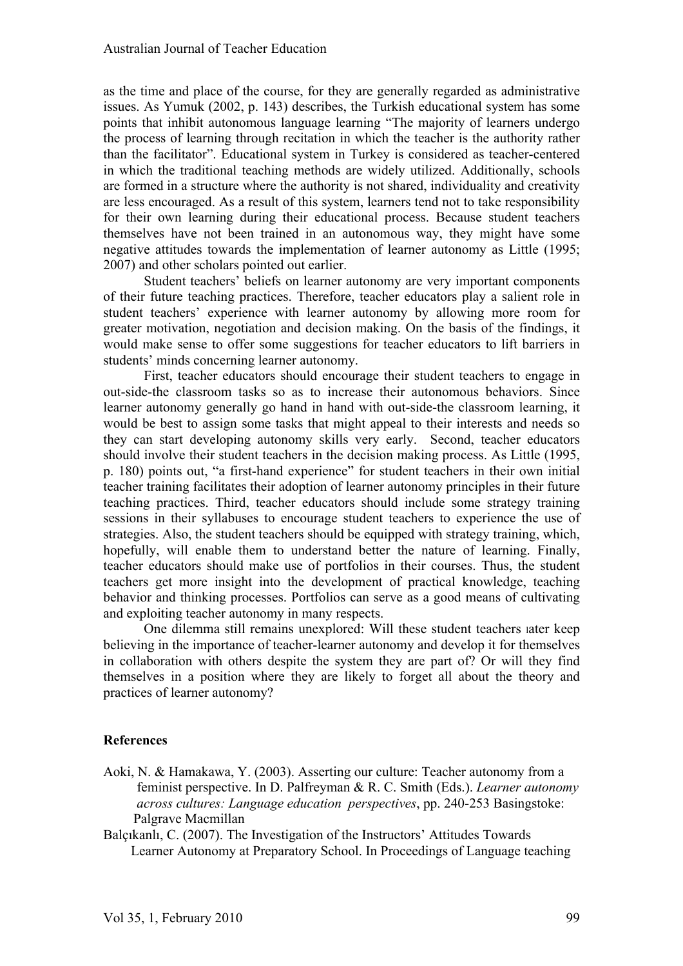as the time and place of the course, for they are generally regarded as administrative issues. As Yumuk (2002, p. 143) describes, the Turkish educational system has some points that inhibit autonomous language learning "The majority of learners undergo the process of learning through recitation in which the teacher is the authority rather than the facilitator". Educational system in Turkey is considered as teacher-centered in which the traditional teaching methods are widely utilized. Additionally, schools are formed in a structure where the authority is not shared, individuality and creativity are less encouraged. As a result of this system, learners tend not to take responsibility for their own learning during their educational process. Because student teachers themselves have not been trained in an autonomous way, they might have some negative attitudes towards the implementation of learner autonomy as Little (1995; 2007) and other scholars pointed out earlier.

Student teachers' beliefs on learner autonomy are very important components of their future teaching practices. Therefore, teacher educators play a salient role in student teachers' experience with learner autonomy by allowing more room for greater motivation, negotiation and decision making. On the basis of the findings, it would make sense to offer some suggestions for teacher educators to lift barriers in students' minds concerning learner autonomy.

First, teacher educators should encourage their student teachers to engage in out-side-the classroom tasks so as to increase their autonomous behaviors. Since learner autonomy generally go hand in hand with out-side-the classroom learning, it would be best to assign some tasks that might appeal to their interests and needs so they can start developing autonomy skills very early. Second, teacher educators should involve their student teachers in the decision making process. As Little (1995, p. 180) points out, "a first-hand experience" for student teachers in their own initial teacher training facilitates their adoption of learner autonomy principles in their future teaching practices. Third, teacher educators should include some strategy training sessions in their syllabuses to encourage student teachers to experience the use of strategies. Also, the student teachers should be equipped with strategy training, which, hopefully, will enable them to understand better the nature of learning. Finally, teacher educators should make use of portfolios in their courses. Thus, the student teachers get more insight into the development of practical knowledge, teaching behavior and thinking processes. Portfolios can serve as a good means of cultivating and exploiting teacher autonomy in many respects.

One dilemma still remains unexplored: Will these student teachers later keep believing in the importance of teacher-learner autonomy and develop it for themselves in collaboration with others despite the system they are part of? Or will they find themselves in a position where they are likely to forget all about the theory and practices of learner autonomy?

# **References**

- Aoki, N. & Hamakawa, Y. (2003). Asserting our culture: Teacher autonomy from a feminist perspective. In D. Palfreyman & R. C. Smith (Eds.). *Learner autonomy across cultures: Language education perspectives*, pp. 240-253 Basingstoke: Palgrave Macmillan
- Balçıkanlı, C. (2007). The Investigation of the Instructors' Attitudes Towards Learner Autonomy at Preparatory School. In Proceedings of Language teaching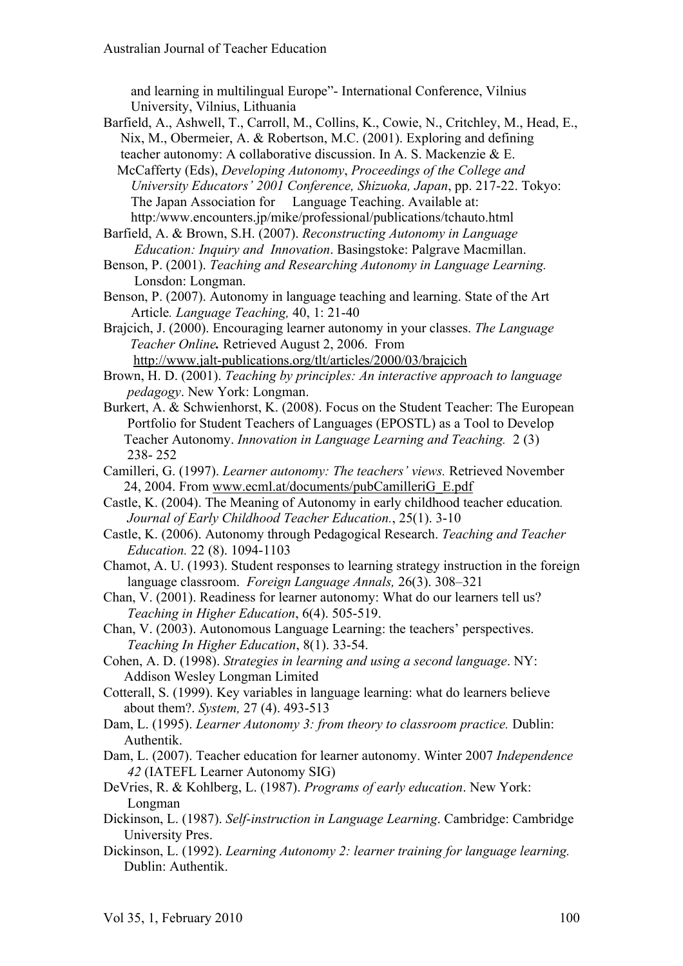and learning in multilingual Europe"- International Conference, Vilnius University, Vilnius, Lithuania

Barfield, A., Ashwell, T., Carroll, M., Collins, K., Cowie, N., Critchley, M., Head, E., Nix, M., Obermeier, A. & Robertson, M.C. (2001). Exploring and defining teacher autonomy: A collaborative discussion. In A. S. Mackenzie & E.

 McCafferty (Eds), *Developing Autonomy*, *Proceedings of the College and University Educators' 2001 Conference, Shizuoka, Japan*, pp. 217-22. Tokyo: The Japan Association for Language Teaching. Available at: http:/www.encounters.jp/mike/professional/publications/tchauto.html

Barfield, A. & Brown, S.H. (2007). *Reconstructing Autonomy in Language Education: Inquiry and Innovation*. Basingstoke: Palgrave Macmillan.

Benson, P. (2001). *Teaching and Researching Autonomy in Language Learning.* Lonsdon: Longman.

Benson, P. (2007). Autonomy in language teaching and learning. State of the Art Article*. Language Teaching,* 40, 1: 21-40

Brajcich, J. (2000). Encouraging learner autonomy in your classes. *The Language Teacher Online.* Retrieved August 2, 2006. From http://www.jalt-publications.org/tlt/articles/2000/03/brajcich

Brown, H. D. (2001). *Teaching by principles: An interactive approach to language pedagogy*. New York: Longman.

Burkert, A. & Schwienhorst, K. (2008). Focus on the Student Teacher: The European Portfolio for Student Teachers of Languages (EPOSTL) as a Tool to Develop Teacher Autonomy. *Innovation in Language Learning and Teaching.* 2 (3) 238- 252

Camilleri, G. (1997). *Learner autonomy: The teachers' views.* Retrieved November 24, 2004. From www.ecml.at/documents/pubCamilleriG\_E.pdf

Castle, K. (2004). The Meaning of Autonomy in early childhood teacher education*. Journal of Early Childhood Teacher Education.*, 25(1). 3-10

Castle, K. (2006). Autonomy through Pedagogical Research. *Teaching and Teacher Education.* 22 (8). 1094-1103

Chamot, A. U. (1993). Student responses to learning strategy instruction in the foreign language classroom. *Foreign Language Annals,* 26(3). 308–321

Chan, V. (2001). Readiness for learner autonomy: What do our learners tell us? *Teaching in Higher Education*, 6(4). 505-519.

Chan, V. (2003). Autonomous Language Learning: the teachers' perspectives. *Teaching In Higher Education*, 8(1). 33-54.

Cohen, A. D. (1998). *Strategies in learning and using a second language*. NY: Addison Wesley Longman Limited

Cotterall, S. (1999). Key variables in language learning: what do learners believe about them?. *System,* 27 (4). 493-513

Dam, L. (1995). *Learner Autonomy 3: from theory to classroom practice.* Dublin: Authentik.

Dam, L. (2007). Teacher education for learner autonomy. Winter 2007 *Independence 42* (IATEFL Learner Autonomy SIG)

DeVries, R. & Kohlberg, L. (1987). *Programs of early education*. New York: Longman

- Dickinson, L. (1987). *Self-instruction in Language Learning*. Cambridge: Cambridge University Pres.
- Dickinson, L. (1992). *Learning Autonomy 2: learner training for language learning.* Dublin: Authentik.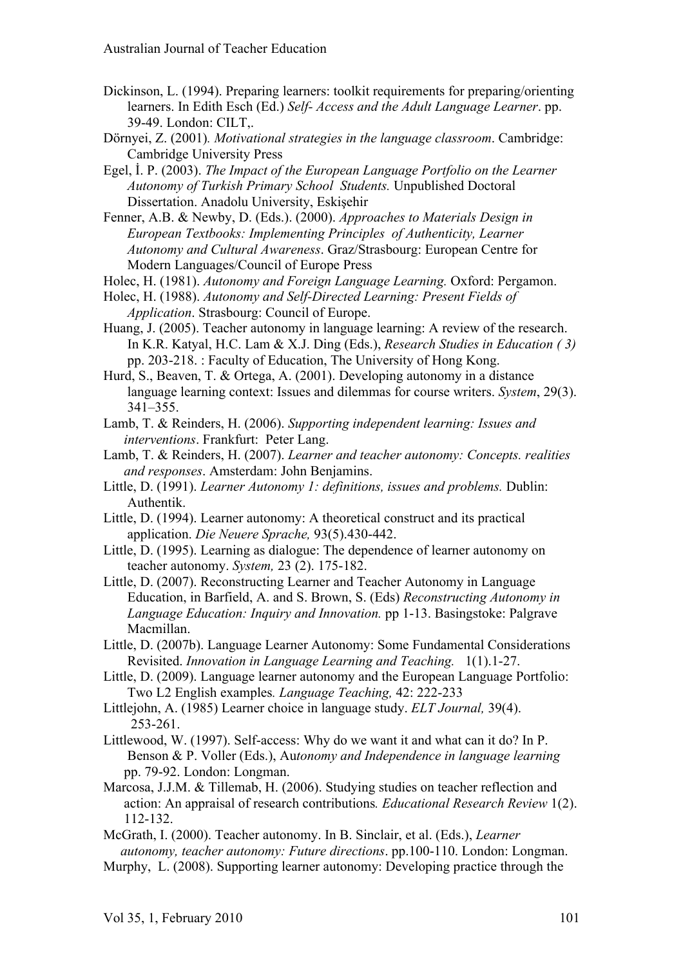- Dickinson, L. (1994). Preparing learners: toolkit requirements for preparing/orienting learners. In Edith Esch (Ed.) *Self- Access and the Adult Language Learner*. pp. 39-49. London: CILT,.
- Dörnyei, Z. (2001)*. Motivational strategies in the language classroom*. Cambridge: Cambridge University Press
- Egel, İ. P. (2003). *The Impact of the European Language Portfolio on the Learner Autonomy of Turkish Primary School Students.* Unpublished Doctoral Dissertation. Anadolu University, Eskişehir

Fenner, A.B. & Newby, D. (Eds.). (2000). *Approaches to Materials Design in European Textbooks: Implementing Principles of Authenticity, Learner Autonomy and Cultural Awareness*. Graz/Strasbourg: European Centre for Modern Languages/Council of Europe Press

Holec, H. (1981). *Autonomy and Foreign Language Learning.* Oxford: Pergamon.

Holec, H. (1988). *Autonomy and Self-Directed Learning: Present Fields of Application*. Strasbourg: Council of Europe.

Huang, J. (2005). Teacher autonomy in language learning: A review of the research. In K.R. Katyal, H.C. Lam & X.J. Ding (Eds.), *Research Studies in Education ( 3)* pp. 203-218. : Faculty of Education, The University of Hong Kong.

Hurd, S., Beaven, T. & Ortega, A. (2001). Developing autonomy in a distance language learning context: Issues and dilemmas for course writers. *System*, 29(3). 341–355.

Lamb, T. & Reinders, H. (2006). *Supporting independent learning: Issues and interventions*. Frankfurt: Peter Lang.

Lamb, T. & Reinders, H. (2007). *Learner and teacher autonomy: Concepts. realities and responses*. Amsterdam: John Benjamins.

Little, D. (1991). *Learner Autonomy 1: definitions, issues and problems.* Dublin: Authentik.

Little, D. (1994). Learner autonomy: A theoretical construct and its practical application. *Die Neuere Sprache,* 93(5).430-442.

- Little, D. (1995). Learning as dialogue: The dependence of learner autonomy on teacher autonomy. *System,* 23 (2). 175-182.
- Little, D. (2007). Reconstructing Learner and Teacher Autonomy in Language Education, in Barfield, A. and S. Brown, S. (Eds) *Reconstructing Autonomy in Language Education: Inquiry and Innovation.* pp 1-13. Basingstoke: Palgrave Macmillan.
- Little, D. (2007b). Language Learner Autonomy: Some Fundamental Considerations Revisited. *Innovation in Language Learning and Teaching.* 1(1).1-27.

Little, D. (2009). Language learner autonomy and the European Language Portfolio: Two L2 English examples*. Language Teaching,* 42: 222-233

Littlejohn, A. (1985) Learner choice in language study. *ELT Journal,* 39(4). 253-261.

- Littlewood, W. (1997). Self-access: Why do we want it and what can it do? In P. Benson & P. Voller (Eds.), Au*tonomy and Independence in language learning* pp. 79-92. London: Longman.
- Marcosa, J.J.M. & Tillemab, H. (2006). Studying studies on teacher reflection and action: An appraisal of research contributions*. Educational Research Review* 1(2). 112-132.

McGrath, I. (2000). Teacher autonomy. In B. Sinclair, et al. (Eds.), *Learner autonomy, teacher autonomy: Future directions*. pp.100-110. London: Longman.

Murphy, L. (2008). Supporting learner autonomy: Developing practice through the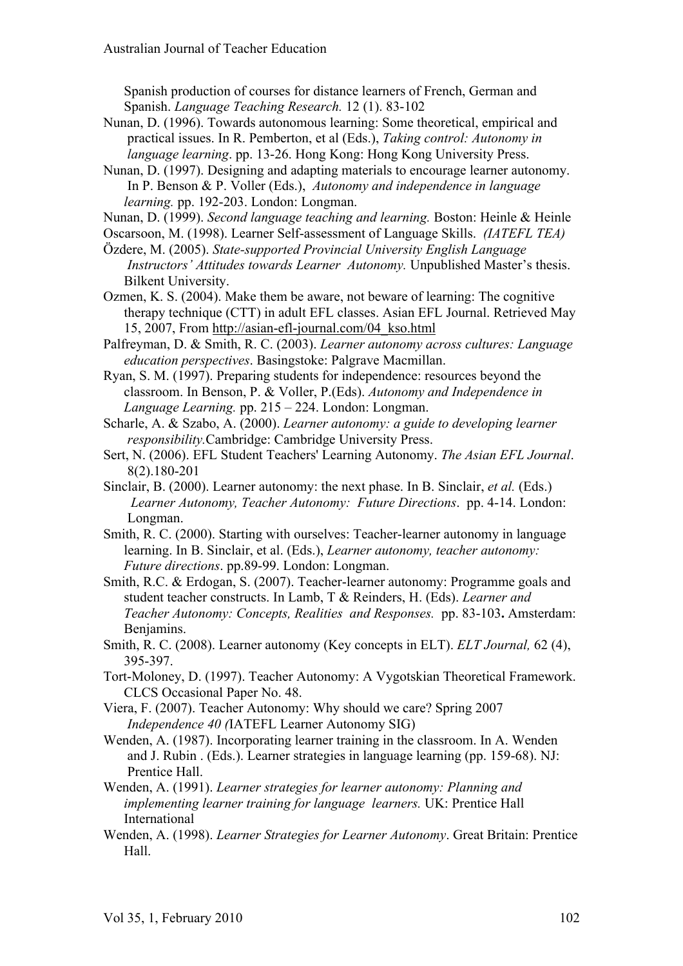Spanish production of courses for distance learners of French, German and Spanish. *Language Teaching Research.* 12 (1). 83-102

- Nunan, D. (1996). Towards autonomous learning: Some theoretical, empirical and practical issues. In R. Pemberton, et al (Eds.), *Taking control: Autonomy in language learning*. pp. 13-26. Hong Kong: Hong Kong University Press.
- Nunan, D. (1997). Designing and adapting materials to encourage learner autonomy. In P. Benson & P. Voller (Eds.), *Autonomy and independence in language learning.* pp. 192-203. London: Longman.
- Nunan, D. (1999). *Second language teaching and learning.* Boston: Heinle & Heinle
- Oscarsoon, M. (1998). Learner Self-assessment of Language Skills. *(IATEFL TEA)*
- Özdere, M. (2005). *State-supported Provincial University English Language Instructors' Attitudes towards Learner Autonomy.* Unpublished Master's thesis. Bilkent University.
- Ozmen, K. S. (2004). Make them be aware, not beware of learning: The cognitive therapy technique (CTT) in adult EFL classes. Asian EFL Journal. Retrieved May 15, 2007, From http://asian-efl-journal.com/04\_kso.html

Palfreyman, D. & Smith, R. C. (2003). *Learner autonomy across cultures: Language education perspectives*. Basingstoke: Palgrave Macmillan.

Ryan, S. M. (1997). Preparing students for independence: resources beyond the classroom. In Benson, P. & Voller, P.(Eds). *Autonomy and Independence in Language Learning.* pp. 215 – 224. London: Longman.

Scharle, A. & Szabo, A. (2000). *Learner autonomy: a guide to developing learner responsibility.*Cambridge: Cambridge University Press.

- Sert, N. (2006). EFL Student Teachers' Learning Autonomy. *The Asian EFL Journal*. 8(2).180-201
- Sinclair, B. (2000). Learner autonomy: the next phase. In B. Sinclair, *et al.* (Eds.) *Learner Autonomy, Teacher Autonomy: Future Directions*. pp. 4-14. London: Longman.

Smith, R. C. (2000). Starting with ourselves: Teacher-learner autonomy in language learning. In B. Sinclair, et al. (Eds.), *Learner autonomy, teacher autonomy: Future directions*. pp.89-99. London: Longman.

- Smith, R.C. & Erdogan, S. (2007). Teacher-learner autonomy: Programme goals and student teacher constructs. In Lamb, T & Reinders, H. (Eds). *Learner and Teacher Autonomy: Concepts, Realities and Responses.*pp. 83-103**.** Amsterdam: Benjamins.
- Smith, R. C. (2008). Learner autonomy (Key concepts in ELT). *ELT Journal,* 62 (4), 395-397.
- Tort-Moloney, D. (1997). Teacher Autonomy: A Vygotskian Theoretical Framework. CLCS Occasional Paper No. 48.
- Viera, F. (2007). Teacher Autonomy: Why should we care? Spring 2007 *Independence 40 (*IATEFL Learner Autonomy SIG)
- Wenden, A. (1987). Incorporating learner training in the classroom. In A. Wenden and J. Rubin . (Eds.). Learner strategies in language learning (pp. 159-68). NJ: Prentice Hall.
- Wenden, A. (1991). *Learner strategies for learner autonomy: Planning and implementing learner training for language learners.* UK: Prentice Hall International
- Wenden, A. (1998). *Learner Strategies for Learner Autonomy*. Great Britain: Prentice Hall.